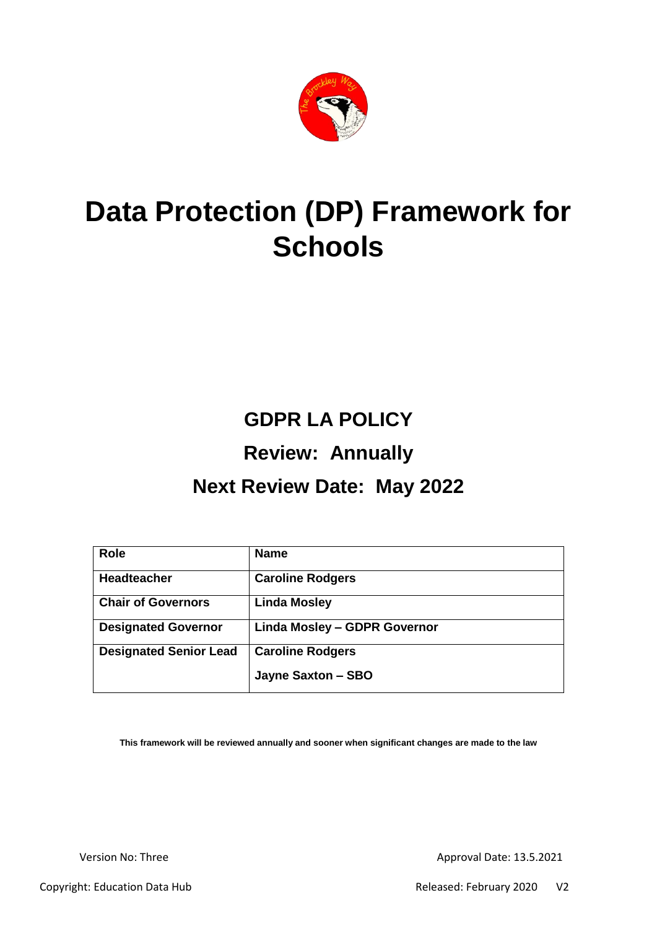

# **Data Protection (DP) Framework for Schools**

# **GDPR LA POLICY**

## **Review: Annually**

## **Next Review Date: May 2022**

| <b>Role</b>                   | <b>Name</b>                         |
|-------------------------------|-------------------------------------|
| <b>Headteacher</b>            | <b>Caroline Rodgers</b>             |
| <b>Chair of Governors</b>     | <b>Linda Mosley</b>                 |
| <b>Designated Governor</b>    | <b>Linda Mosley - GDPR Governor</b> |
| <b>Designated Senior Lead</b> | <b>Caroline Rodgers</b>             |
|                               | Jayne Saxton - SBO                  |

**This framework will be reviewed annually and sooner when significant changes are made to the law**

Version No: Three Approval Date: 13.5.2021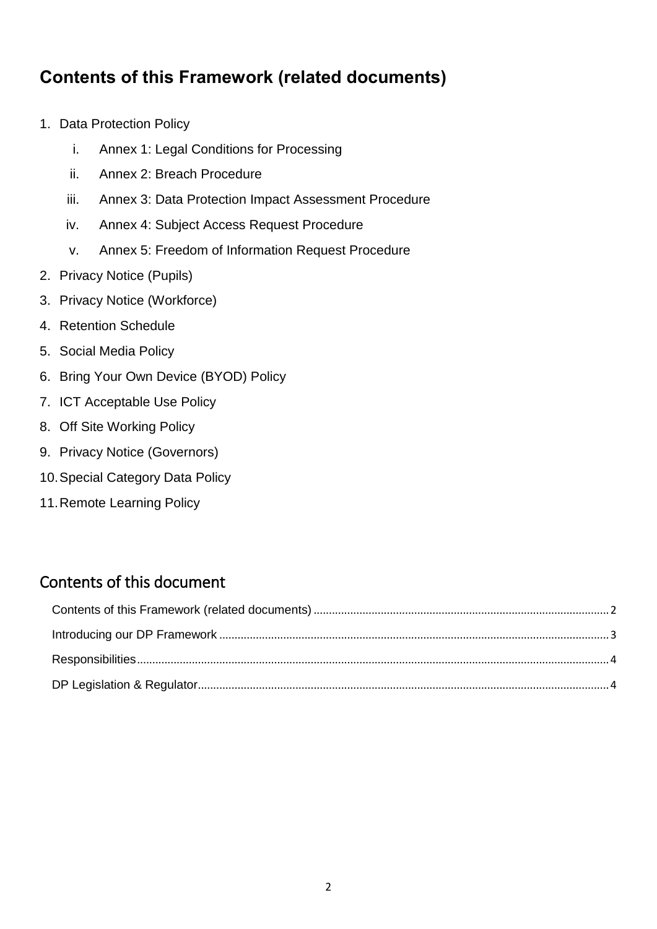## <span id="page-1-0"></span>**Contents of this Framework (related documents)**

- 1. Data Protection Policy
	- i. Annex 1: Legal Conditions for Processing
	- ii. Annex 2: Breach Procedure
	- iii. Annex 3: Data Protection Impact Assessment Procedure
	- iv. Annex 4: Subject Access Request Procedure
	- v. Annex 5: Freedom of Information Request Procedure
- 2. Privacy Notice (Pupils)
- 3. Privacy Notice (Workforce)
- 4. Retention Schedule
- 5. Social Media Policy
- 6. Bring Your Own Device (BYOD) Policy
- 7. ICT Acceptable Use Policy
- 8. Off Site Working Policy
- 9. Privacy Notice (Governors)
- 10.Special Category Data Policy
- 11.Remote Learning Policy

## Contents of this document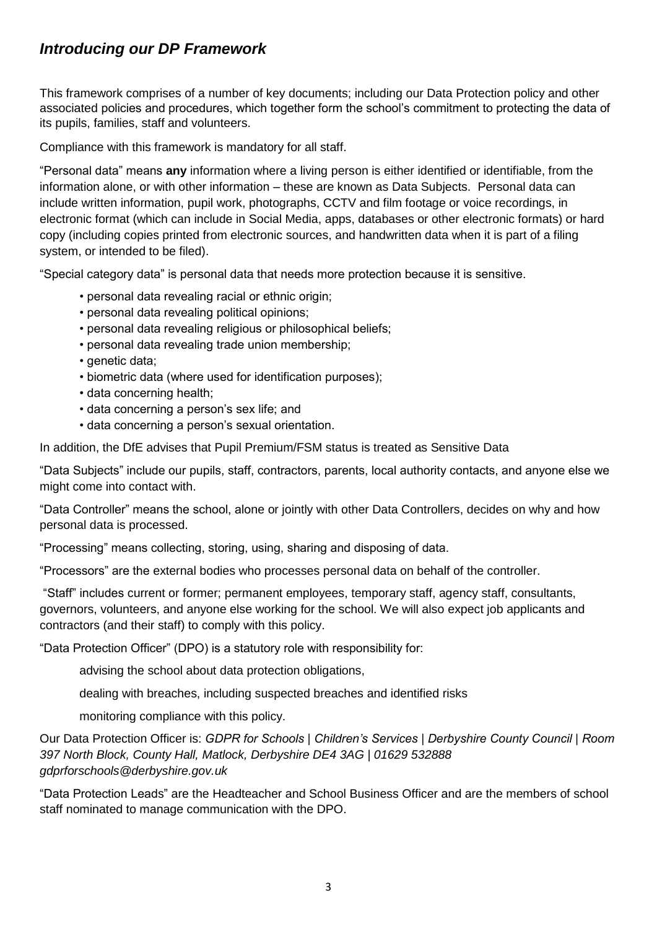#### <span id="page-2-0"></span>*Introducing our DP Framework*

This framework comprises of a number of key documents; including our Data Protection policy and other associated policies and procedures, which together form the school's commitment to protecting the data of its pupils, families, staff and volunteers.

Compliance with this framework is mandatory for all staff.

"Personal data" means **any** information where a living person is either identified or identifiable, from the information alone, or with other information – these are known as Data Subjects. Personal data can include written information, pupil work, photographs, CCTV and film footage or voice recordings, in electronic format (which can include in Social Media, apps, databases or other electronic formats) or hard copy (including copies printed from electronic sources, and handwritten data when it is part of a filing system, or intended to be filed).

"Special category data" is personal data that needs more protection because it is sensitive.

- personal data revealing racial or ethnic origin;
- personal data revealing political opinions;
- personal data revealing religious or philosophical beliefs;
- personal data revealing trade union membership;
- genetic data;
- biometric data (where used for identification purposes);
- data concerning health;
- data concerning a person's sex life; and
- data concerning a person's sexual orientation.

In addition, the DfE advises that Pupil Premium/FSM status is treated as Sensitive Data

"Data Subjects" include our pupils, staff, contractors, parents, local authority contacts, and anyone else we might come into contact with.

"Data Controller" means the school, alone or jointly with other Data Controllers, decides on why and how personal data is processed.

"Processing" means collecting, storing, using, sharing and disposing of data.

"Processors" are the external bodies who processes personal data on behalf of the controller.

"Staff" includes current or former; permanent employees, temporary staff, agency staff, consultants, governors, volunteers, and anyone else working for the school. We will also expect job applicants and contractors (and their staff) to comply with this policy.

"Data Protection Officer" (DPO) is a statutory role with responsibility for:

advising the school about data protection obligations,

dealing with breaches, including suspected breaches and identified risks

monitoring compliance with this policy.

Our Data Protection Officer is: *GDPR for Schools | Children's Services | Derbyshire County Council | Room 397 North Block, County Hall, Matlock, Derbyshire DE4 3AG | 01629 532888 gdprforschools@derbyshire.gov.uk*

"Data Protection Leads" are the Headteacher and School Business Officer and are the members of school staff nominated to manage communication with the DPO.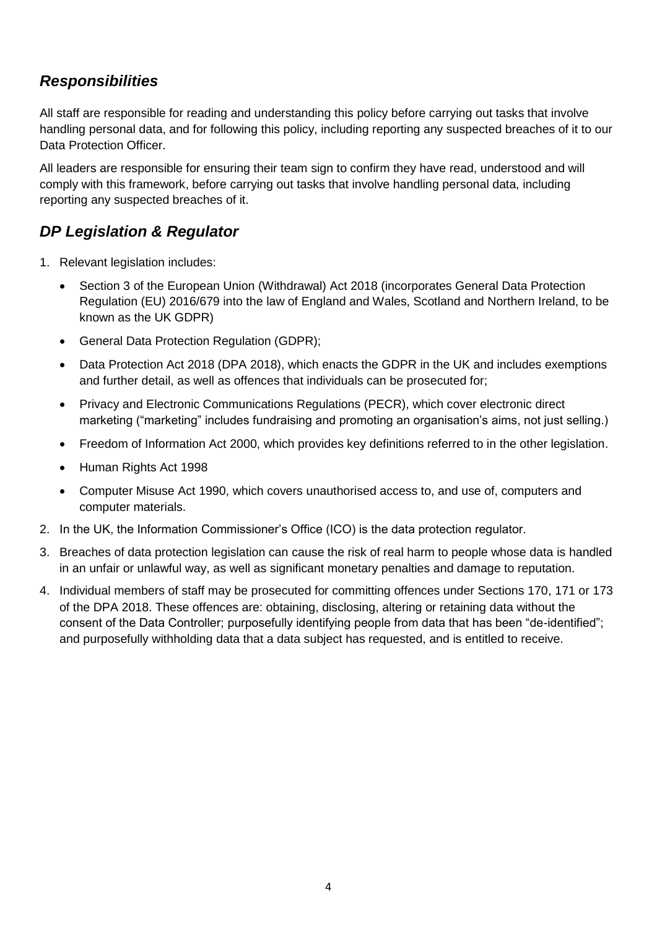### <span id="page-3-0"></span>*Responsibilities*

All staff are responsible for reading and understanding this policy before carrying out tasks that involve handling personal data, and for following this policy, including reporting any suspected breaches of it to our Data Protection Officer.

All leaders are responsible for ensuring their team sign to confirm they have read, understood and will comply with this framework, before carrying out tasks that involve handling personal data, including reporting any suspected breaches of it.

### <span id="page-3-1"></span>*DP Legislation & Regulator*

- 1. Relevant legislation includes:
	- Section 3 of the European Union (Withdrawal) Act 2018 (incorporates General Data Protection Regulation (EU) 2016/679 into the law of England and Wales, Scotland and Northern Ireland, to be known as the UK GDPR)
	- General Data Protection Regulation (GDPR);
	- Data Protection Act 2018 (DPA 2018), which enacts the GDPR in the UK and includes exemptions and further detail, as well as offences that individuals can be prosecuted for;
	- Privacy and Electronic Communications Regulations (PECR), which cover electronic direct marketing ("marketing" includes fundraising and promoting an organisation's aims, not just selling.)
	- Freedom of Information Act 2000, which provides key definitions referred to in the other legislation.
	- Human Rights Act 1998
	- Computer Misuse Act 1990, which covers unauthorised access to, and use of, computers and computer materials.
- 2. In the UK, the Information Commissioner's Office (ICO) is the data protection regulator.
- 3. Breaches of data protection legislation can cause the risk of real harm to people whose data is handled in an unfair or unlawful way, as well as significant monetary penalties and damage to reputation.
- 4. Individual members of staff may be prosecuted for committing offences under Sections 170, 171 or 173 of the DPA 2018. These offences are: obtaining, disclosing, altering or retaining data without the consent of the Data Controller; purposefully identifying people from data that has been "de-identified"; and purposefully withholding data that a data subject has requested, and is entitled to receive.